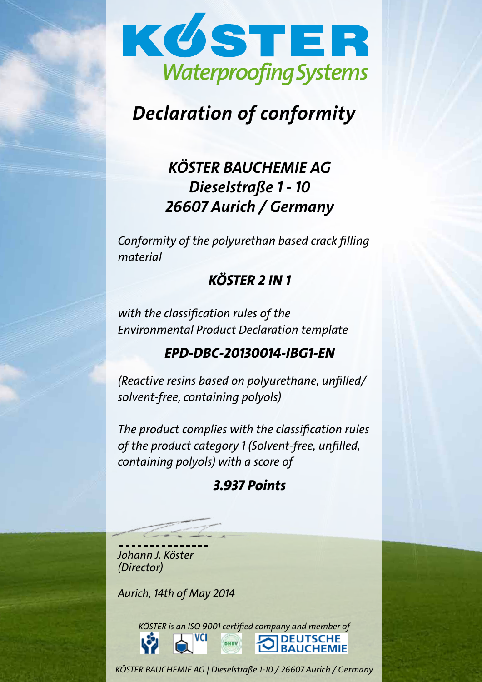

# Declaration of conformity

# KÖSTER BAUCHEMIE AG Dieselstraße 1 - 10 26607 Aurich / Germany

Conformity of the polyurethan based crack filling material

## KÖSTER 2 IN 1

with the classification rules of the Environmental Product Declaration template

## EPD-DBC-20130014-IBG1-EN

(Reactive resins based on polyurethane, unfilled/ solvent-free, containing polyols)

The product complies with the classification rules of the product category 1 (Solvent-free, unfilled, containing polyols) with a score of

## 3.937 Points

j Johann J. Köster (Director)

Aurich, 14th of May 2014

KÖSTER is an ISO 9001 certified company and member of **VCI DEUTSCHE BAUCHEMIE** 

KÖSTER BAUCHEMIE AG | Dieselstraße 1-10 / 26607 Aurich / Germany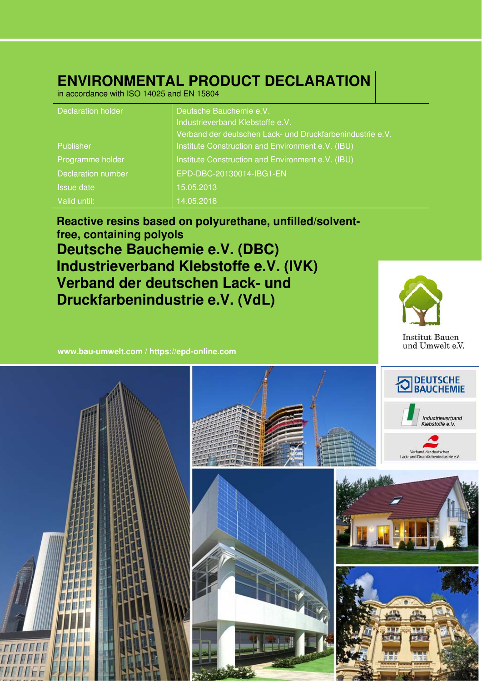## **ENVIRONMENTAL PRODUCT DECLARATION**

in accordance with ISO 14025 and EN 15804

| <b>Declaration holder</b> | Deutsche Bauchemie e.V.                                   |
|---------------------------|-----------------------------------------------------------|
|                           | Industrieverband Klebstoffe e.V.                          |
|                           | Verband der deutschen Lack- und Druckfarbenindustrie e.V. |
| Publisher                 | Institute Construction and Environment e.V. (IBU)         |
| Programme holder          | Institute Construction and Environment e.V. (IBU)         |
| <b>Declaration number</b> | EPD-DBC-20130014-IBG1-EN                                  |
| <b>Issue date</b>         | 15.05.2013                                                |
| Valid until:              | 14.05.2018                                                |

**Reactive resins based on polyurethane, unfilled/solventfree, containing polyols Deutsche Bauchemie e.V. (DBC) Industrieverband Klebstoffe e.V. (IVK) Verband der deutschen Lack- und Druckfarbenindustrie e.V. (VdL)**



**www.bau-umwelt.com / https://epd-online.com**

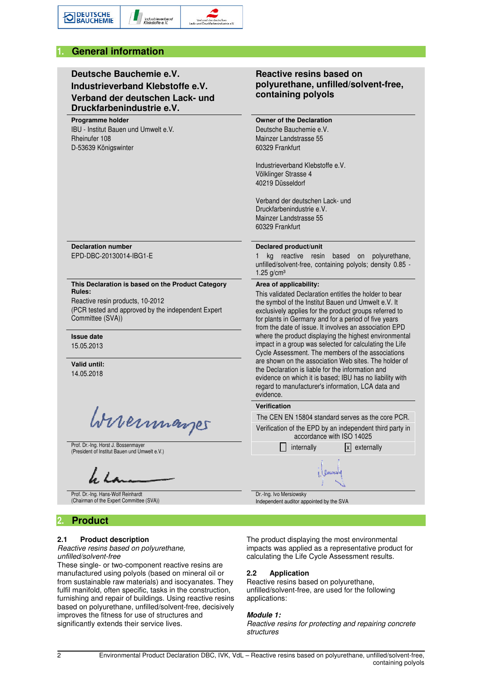

## **Deutsche Bauchemie e.V. Industrieverband Klebstoffe e.V. Verband der deutschen Lack- und Druckfarbenindustrie e.V.**

#### **Programme holder**

IBU - Institut Bauen und Umwelt e.V. Rheinufer 108 D-53639 Königswinter

## **Reactive resins based on polyurethane, unfilled/solvent-free, containing polyols**

**Owner of the Declaration**  Deutsche Bauchemie e.V. Mainzer Landstrasse 55 60329 Frankfurt

Industrieverband Klebstoffe e.V. Völklinger Strasse 4 40219 Düsseldorf

Verband der deutschen Lack- und Druckfarbenindustrie e.V. Mainzer Landstrasse 55 60329 Frankfurt

**Declaration number**  EPD-DBC-20130014-IBG1-E

#### **This Declaration is based on the Product Category Rules:**

Reactive resin products, 10-2012 (PCR tested and approved by the independent Expert Committee (SVA))

**Issue date** 

15.05.2013

**Valid until:**  14.05.2018

Wirermannes

Prof. Dr.-Ing. Horst J. Bossenmayer

Prof. Dr.-Ing. Hans-Wolf Reinhardt (Chairman of the Expert Committee (SVA))

## **2. Product**

## **2.1 Product description**

#### *Reactive resins based on polyurethane, unfilled/solvent-free*

These single- or two-component reactive resins are manufactured using polyols (based on mineral oil or from sustainable raw materials) and isocyanates. They fulfil manifold, often specific, tasks in the construction, furnishing and repair of buildings. Using reactive resins based on polyurethane, unfilled/solvent-free, decisively improves the fitness for use of structures and significantly extends their service lives.

#### **Declared product/unit**

1 kg reactive resin based on polyurethane, unfilled/solvent-free, containing polyols; density 0.85 - 1.25 g/cm³

#### **Area of applicability:**

This validated Declaration entitles the holder to bear the symbol of the Institut Bauen und Umwelt e.V. It exclusively applies for the product groups referred to for plants in Germany and for a period of five years from the date of issue. It involves an association EPD where the product displaying the highest environmental impact in a group was selected for calculating the Life Cycle Assessment. The members of the associations are shown on the association Web sites. The holder of the Declaration is liable for the information and evidence on which it is based; IBU has no liability with regard to manufacturer's information, LCA data and evidence.

#### **Verification**



Dr.-Ing. Ivo Mersiowsky Independent auditor appointed by the SVA

The product displaying the most environmental impacts was applied as a representative product for calculating the Life Cycle Assessment results.

#### **2.2 Application**

Reactive resins based on polyurethane, unfilled/solvent-free, are used for the following applications:

#### *Module 1:*

*Reactive resins for protecting and repairing concrete structures*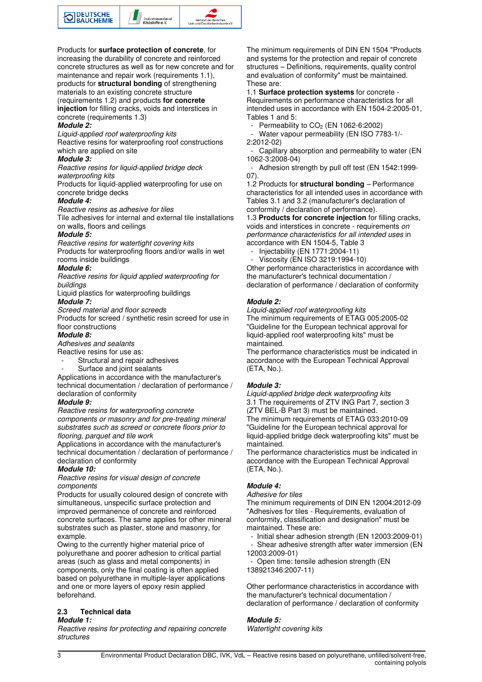

Products for **surface protection of concrete**, for increasing the durability of concrete and reinforced concrete structures as well as for new concrete and for maintenance and repair work (requirements 1.1), products for **structural bonding** of strengthening materials to an existing concrete structure (requirements 1.2) and products **for concrete injection** for filling cracks, voids and interstices in concrete (requirements 1.3)

#### *Module 2:*

*Liquid-applied roof waterproofing kits*

Reactive resins for waterproofing roof constructions which are applied on site

#### *Module 3:*

*Reactive resins for liquid-applied bridge deck waterproofing kits*

Products for liquid-applied waterproofing for use on concrete bridge decks

#### *Module 4:*

*Reactive resins as adhesive for tiles*

Tile adhesives for internal and external tile installations on walls, floors and ceilings

#### *Module 5:*

*Reactive resins for watertight covering kits* Products for waterproofing floors and/or walls in wet rooms inside buildings

#### *Module 6:*

*Reactive resins for liquid applied waterproofing for buildings*

Liquid plastics for waterproofing buildings *Module 7:*

*Screed material and floor screeds* 

Products for screed / synthetic resin screed for use in floor constructions

#### *Module 8:*

*Adhesives and sealants*

Reactive resins for use as:

- Structural and repair adhesives
- Surface and joint sealants

Applications in accordance with the manufacturer's technical documentation / declaration of performance / declaration of conformity

#### *Module 9:*

*Reactive resins for waterproofing concrete components or masonry and for pre-treating mineral substrates such as screed or concrete floors prior to flooring, parquet and tile work*

Applications in accordance with the manufacturer's technical documentation / declaration of performance / declaration of conformity

#### *Module 10:*

*Reactive resins for visual design of concrete components*

Products for usually coloured design of concrete with simultaneous, unspecific surface protection and improved permanence of concrete and reinforced concrete surfaces. The same applies for other mineral substrates such as plaster, stone and masonry, for example.

Owing to the currently higher material price of polyurethane and poorer adhesion to critical partial areas (such as glass and metal components) in components, only the final coating is often applied based on polyurethane in multiple-layer applications and one or more layers of epoxy resin applied beforehand.

### **2.3 Technical data**

#### *Module 1:*

*Reactive resins for protecting and repairing concrete structures* 

The minimum requirements of DIN EN 1504 "Products and systems for the protection and repair of concrete structures – Definitions, requirements, quality control and evaluation of conformity" must be maintained. These are:

1.1 **Surface protection systems** for concrete - Requirements on performance characteristics for all intended uses in accordance with EN 1504-2:2005-01, Tables 1 and 5:

Permeability to CO<sub>2</sub> (EN 1062-6:2002)

Water vapour permeability (EN ISO 7783-1/-2:2012-02)

Capillary absorption and permeability to water (EN 1062-3:2008-04)

Adhesion strength by pull off test (EN 1542:1999-07).

1.2 Products for **structural bonding** *–* Performance characteristics for all intended uses in accordance with Tables 3.1 and 3.2 (manufacturer's declaration of conformity / declaration of performance).

1.3 **Products for concrete injection** for filling cracks, voids and interstices in concrete - requirements *on performance characteristics for all intended uses* in accordance with EN 1504-5, Table 3

 - Injectability (EN 1771:2004-11) - Viscosity (EN ISO 3219:1994-10)

Other performance characteristics in accordance with the manufacturer's technical documentation / declaration of performance / declaration of conformity

#### *Module 2:*

*Liquid-applied roof waterproofing kits* The minimum requirements of ETAG 005:2005-02 "Guideline for the European technical approval for liquid-applied roof waterproofing kits" must be maintained.

The performance characteristics must be indicated in accordance with the European Technical Approval (ETA, No.).

#### *Module 3:*

*Liquid-applied bridge deck waterproofing kits* 3.1 The requirements of ZTV ING Part 7, section 3 (ZTV BEL-B Part 3) must be maintained. The minimum requirements of ETAG 033:2010-09 "Guideline for the European technical approval for liquid-applied bridge deck waterproofing kits" must be maintained.

The performance characteristics must be indicated in accordance with the European Technical Approval (ETA, No.).

#### *Module 4:*

*Adhesive for tiles* The minimum requirements of DIN EN 12004:2012-09 "Adhesives for tiles - Requirements, evaluation of conformity, classification and designation" must be

maintained. These are: - Initial shear adhesion strength (EN 12003:2009-01)

 - Shear adhesive strength after water immersion (EN 12003:2009-01)

Open time: tensile adhesion strength (EN 138921346:2007-11)

Other performance characteristics in accordance with the manufacturer's technical documentation / declaration of performance / declaration of conformity

#### *Module 5:*

*Watertight covering kits*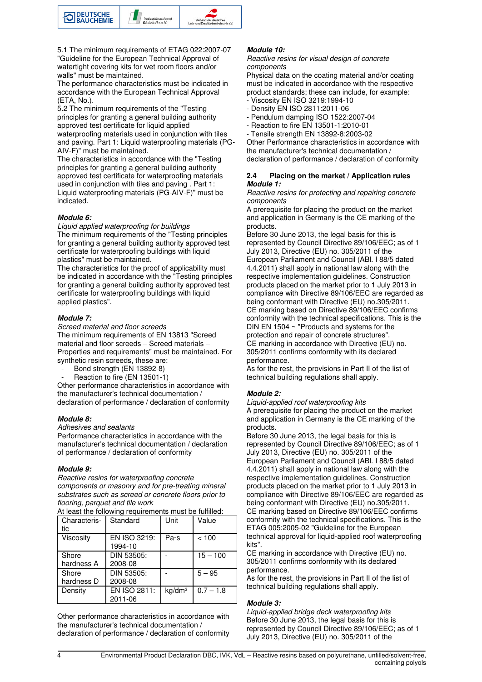

5.1 The minimum requirements of ETAG 022:2007-07 "Guideline for the European Technical Approval of watertight covering kits for wet room floors and/or walls" must be maintained.

The performance characteristics must be indicated in accordance with the European Technical Approval (ETA, No.).

5.2 The minimum requirements of the "Testing principles for granting a general building authority approved test certificate for liquid applied waterproofing materials used in conjunction with tiles

and paving. Part 1: Liquid waterproofing materials (PG-AIV-F)" must be maintained.

The characteristics in accordance with the "Testing principles for granting a general building authority approved test certificate for waterproofing materials used in conjunction with tiles and paving . Part 1: Liquid waterproofing materials (PG-AIV-F)" must be indicated.

#### *Module 6:*

*Liquid applied waterproofing for buildings*

The minimum requirements of the "Testing principles for granting a general building authority approved test certificate for waterproofing buildings with liquid plastics" must be maintained.

The characteristics for the proof of applicability must be indicated in accordance with the "Testing principles for granting a general building authority approved test certificate for waterproofing buildings with liquid applied plastics".

#### *Module 7:*

*Screed material and floor screeds*

The minimum requirements of EN 13813 "Screed material and floor screeds – Screed materials – Properties and requirements" must be maintained. For synthetic resin screeds, these are:

Bond strength (EN 13892-8)

Reaction to fire (EN 13501-1)

Other performance characteristics in accordance with the manufacturer's technical documentation / declaration of performance / declaration of conformity

#### *Module 8:*

*Adhesives and sealants*

Performance characteristics in accordance with the manufacturer's technical documentation / declaration of performance / declaration of conformity

#### *Module 9:*

*Reactive resins for waterproofing concrete components or masonry and for pre-treating mineral substrates such as screed or concrete floors prior to flooring, parquet and tile work*

At least the following requirements must be fulfilled:

| Characteris-<br>tic | Standard                | Unit               | Value       |
|---------------------|-------------------------|--------------------|-------------|
| Viscosity           | EN ISO 3219:<br>1994-10 | Pa·s               | < 100       |
| Shore<br>hardness A | DIN 53505:<br>2008-08   |                    | $15 - 100$  |
| Shore<br>hardness D | DIN 53505:<br>2008-08   |                    | $5 - 95$    |
| Density             | EN ISO 2811:<br>2011-06 | kq/dm <sup>3</sup> | $0.7 - 1.8$ |

Other performance characteristics in accordance with the manufacturer's technical documentation / declaration of performance / declaration of conformity

#### *Module 10:*

*Reactive resins for visual design of concrete components*

Physical data on the coating material and/or coating must be indicated in accordance with the respective product standards; these can include, for example:

- Viscosity EN ISO 3219:1994-10
- Density EN ISO 2811:2011-06 - Pendulum damping ISO 1522:2007-04
- Reaction to fire EN 13501-1:2010-01
- Tensile strength EN 13892-8:2003-02

Other Performance characteristics in accordance with the manufacturer's technical documentation / declaration of performance / declaration of conformity

#### **2.4 Placing on the market / Application rules**  *Module 1:*

*Reactive resins for protecting and repairing concrete components* 

A prerequisite for placing the product on the market and application in Germany is the CE marking of the products.

Before 30 June 2013, the legal basis for this is represented by Council Directive 89/106/EEC; as of 1 July 2013, Directive (EU) no. 305/2011 of the European Parliament and Council (ABl. I 88/5 dated 4.4.2011) shall apply in national law along with the respective implementation guidelines. Construction products placed on the market prior to 1 July 2013 in compliance with Directive 89/106/EEC are regarded as being conformant with Directive (EU) no.305/2011. CE marking based on Directive 89/106/EEC confirms conformity with the technical specifications. This is the DIN EN 1504 ~ "Products and systems for the protection and repair of concrete structures". CE marking in accordance with Directive (EU) no. 305/2011 confirms conformity with its declared performance.

As for the rest, the provisions in Part II of the list of technical building regulations shall apply.

#### *Module 2:*

*Liquid-applied roof waterproofing kits* A prerequisite for placing the product on the market and application in Germany is the CE marking of the products.

Before 30 June 2013, the legal basis for this is represented by Council Directive 89/106/EEC; as of 1 July 2013, Directive (EU) no. 305/2011 of the European Parliament and Council (ABl. I 88/5 dated 4.4.2011) shall apply in national law along with the respective implementation guidelines. Construction products placed on the market prior to 1 July 2013 in compliance with Directive 89/106/EEC are regarded as being conformant with Directive (EU) no.305/2011. CE marking based on Directive 89/106/EEC confirms conformity with the technical specifications. This is the ETAG 005:2005-02 "Guideline for the European technical approval for liquid-applied roof waterproofing kits".

CE marking in accordance with Directive (EU) no. 305/2011 confirms conformity with its declared performance.

As for the rest, the provisions in Part II of the list of technical building regulations shall apply.

#### *Module 3:*

*Liquid-applied bridge deck waterproofing kits* Before 30 June 2013, the legal basis for this is represented by Council Directive 89/106/EEC; as of 1 July 2013, Directive (EU) no. 305/2011 of the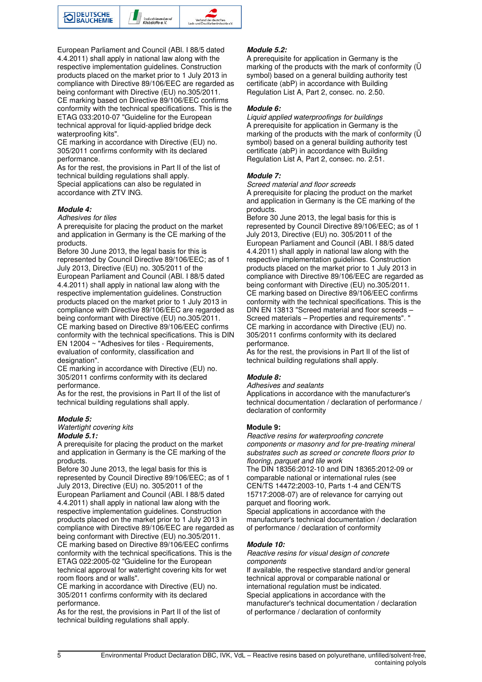

European Parliament and Council (ABl. I 88/5 dated 4.4.2011) shall apply in national law along with the respective implementation guidelines. Construction products placed on the market prior to 1 July 2013 in compliance with Directive 89/106/EEC are regarded as being conformant with Directive (EU) no.305/2011. CE marking based on Directive 89/106/EEC confirms conformity with the technical specifications. This is the ETAG 033:2010-07 "Guideline for the European technical approval for liquid-applied bridge deck waterproofing kits".

CE marking in accordance with Directive (EU) no. 305/2011 confirms conformity with its declared performance.

As for the rest, the provisions in Part II of the list of technical building regulations shall apply. Special applications can also be regulated in accordance with ZTV ING.

#### *Module 4:*

#### *Adhesives for tiles*

A prerequisite for placing the product on the market and application in Germany is the CE marking of the products.

Before 30 June 2013, the legal basis for this is represented by Council Directive 89/106/EEC; as of 1 July 2013, Directive (EU) no. 305/2011 of the European Parliament and Council (ABl. I 88/5 dated 4.4.2011) shall apply in national law along with the respective implementation guidelines. Construction products placed on the market prior to 1 July 2013 in compliance with Directive 89/106/EEC are regarded as being conformant with Directive (EU) no.305/2011. CE marking based on Directive 89/106/EEC confirms conformity with the technical specifications. This is DIN EN 12004 ~ "Adhesives for tiles - Requirements, evaluation of conformity, classification and designation".

CE marking in accordance with Directive (EU) no. 305/2011 confirms conformity with its declared performance.

As for the rest, the provisions in Part II of the list of technical building regulations shall apply.

#### *Module 5:*

*Watertight covering kits Module 5.1:* 

A prerequisite for placing the product on the market and application in Germany is the CE marking of the products.

Before 30 June 2013, the legal basis for this is represented by Council Directive 89/106/EEC; as of 1 July 2013, Directive (EU) no. 305/2011 of the European Parliament and Council (ABl. I 88/5 dated 4.4.2011) shall apply in national law along with the respective implementation guidelines. Construction products placed on the market prior to 1 July 2013 in compliance with Directive 89/106/EEC are regarded as being conformant with Directive (EU) no.305/2011. CE marking based on Directive 89/106/EEC confirms conformity with the technical specifications. This is the ETAG 022:2005-02 "Guideline for the European technical approval for watertight covering kits for wet room floors and or walls".

CE marking in accordance with Directive (EU) no. 305/2011 confirms conformity with its declared performance.

As for the rest, the provisions in Part II of the list of technical building regulations shall apply.

#### *Module 5.2:*

A prerequisite for application in Germany is the marking of the products with the mark of conformity (Ü symbol) based on a general building authority test certificate (abP) in accordance with Building Regulation List A, Part 2, consec. no. 2.50.

#### *Module 6:*

*Liquid applied waterproofings for buildings* A prerequisite for application in Germany is the marking of the products with the mark of conformity (Ü symbol) based on a general building authority test certificate (abP) in accordance with Building Regulation List A, Part 2, consec. no. 2.51.

#### *Module 7:*

*Screed material and floor screeds* A prerequisite for placing the product on the market and application in Germany is the CE marking of the products.

Before 30 June 2013, the legal basis for this is represented by Council Directive 89/106/EEC; as of 1 July 2013, Directive (EU) no. 305/2011 of the European Parliament and Council (ABl. I 88/5 dated 4.4.2011) shall apply in national law along with the respective implementation guidelines. Construction products placed on the market prior to 1 July 2013 in compliance with Directive 89/106/EEC are regarded as being conformant with Directive (EU) no.305/2011. CE marking based on Directive 89/106/EEC confirms conformity with the technical specifications. This is the DIN EN 13813 "Screed material and floor screeds – Screed materials – Properties and requirements". CE marking in accordance with Directive (EU) no. 305/2011 confirms conformity with its declared performance.

As for the rest, the provisions in Part II of the list of technical building regulations shall apply.

#### *Module 8:*

#### *Adhesives and sealants*

Applications in accordance with the manufacturer's technical documentation / declaration of performance / declaration of conformity

#### **Module 9:**

*Reactive resins for waterproofing concrete components or masonry and for pre-treating mineral substrates such as screed or concrete floors prior to flooring, parquet and tile work*

The DIN 18356:2012-10 and DIN 18365:2012-09 or comparable national or international rules (see CEN/TS 14472:2003-10, Parts 1-4 and CEN/TS 15717:2008-07) are of relevance for carrying out parquet and flooring work.

Special applications in accordance with the manufacturer's technical documentation / declaration of performance / declaration of conformity

#### *Module 10:*

#### *Reactive resins for visual design of concrete components*

If available, the respective standard and/or general technical approval or comparable national or international regulation must be indicated. Special applications in accordance with the manufacturer's technical documentation / declaration of performance / declaration of conformity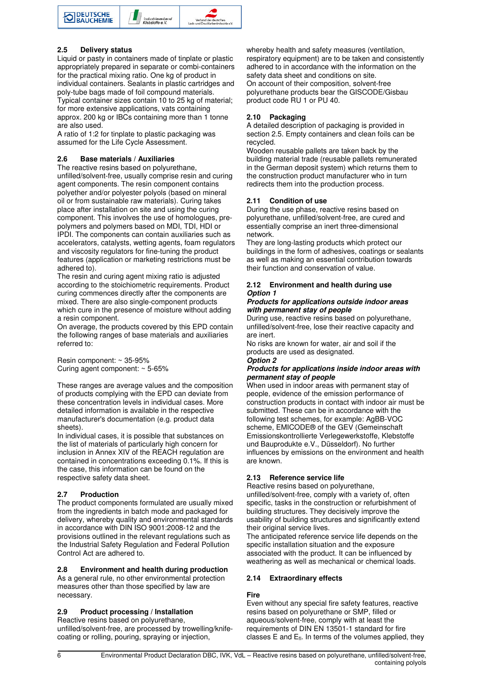

#### **2.5 Delivery status**

Liquid or pasty in containers made of tinplate or plastic appropriately prepared in separate or combi-containers for the practical mixing ratio. One kg of product in individual containers. Sealants in plastic cartridges and poly-tube bags made of foil compound materials. Typical container sizes contain 10 to 25 kg of material; for more extensive applications, vats containing approx. 200 kg or IBCs containing more than 1 tonne are also used.

A ratio of 1:2 for tinplate to plastic packaging was assumed for the Life Cycle Assessment.

#### **2.6 Base materials / Auxiliaries**

The reactive resins based on polyurethane, unfilled/solvent-free, usually comprise resin and curing agent components. The resin component contains polyether and/or polyester polyols (based on mineral oil or from sustainable raw materials). Curing takes place after installation on site and using the curing component. This involves the use of homologues, prepolymers and polymers based on MDI, TDI, HDI or IPDI. The components can contain auxiliaries such as accelerators, catalysts, wetting agents, foam regulators and viscosity regulators for fine-tuning the product features (application or marketing restrictions must be adhered to).

The resin and curing agent mixing ratio is adjusted according to the stoichiometric requirements. Product curing commences directly after the components are mixed. There are also single-component products which cure in the presence of moisture without adding a resin component.

On average, the products covered by this EPD contain the following ranges of base materials and auxiliaries referred to:

Resin component: ~ 35-95% Curing agent component: ~ 5-65%

These ranges are average values and the composition of products complying with the EPD can deviate from these concentration levels in individual cases. More detailed information is available in the respective manufacturer's documentation (e.g. product data sheets).

In individual cases, it is possible that substances on the list of materials of particularly high concern for inclusion in Annex XIV of the REACH regulation are contained in concentrations exceeding 0.1%. If this is the case, this information can be found on the respective safety data sheet.

#### **2.7 Production**

The product components formulated are usually mixed from the ingredients in batch mode and packaged for delivery, whereby quality and environmental standards in accordance with DIN ISO 9001:2008-12 and the provisions outlined in the relevant regulations such as the Industrial Safety Regulation and Federal Pollution Control Act are adhered to.

### **2.8 Environment and health during production**

As a general rule, no other environmental protection measures other than those specified by law are necessary.

### **2.9 Product processing / Installation**

Reactive resins based on polyurethane, unfilled/solvent-free, are processed by trowelling/knifecoating or rolling, pouring, spraying or injection,

whereby health and safety measures (ventilation, respiratory equipment) are to be taken and consistently adhered to in accordance with the information on the safety data sheet and conditions on site. On account of their composition, solvent-free polyurethane products bear the GISCODE/Gisbau product code RU 1 or PU 40.

#### **2.10 Packaging**

A detailed description of packaging is provided in section 2.5. Empty containers and clean foils can be recycled.

Wooden reusable pallets are taken back by the building material trade (reusable pallets remunerated in the German deposit system) which returns them to the construction product manufacturer who in turn redirects them into the production process.

#### **2.11 Condition of use**

During the use phase, reactive resins based on polyurethane, unfilled/solvent-free, are cured and essentially comprise an inert three-dimensional network.

They are long-lasting products which protect our buildings in the form of adhesives, coatings or sealants as well as making an essential contribution towards their function and conservation of value.

#### **2.12 Environment and health during use**  *Option 1*

#### *Products for applications outside indoor areas with permanent stay of people*

During use, reactive resins based on polyurethane, unfilled/solvent-free, lose their reactive capacity and are inert.

No risks are known for water, air and soil if the products are used as designated.

## *Option 2*

#### *Products for applications inside indoor areas with permanent stay of people*

When used in indoor areas with permanent stay of people, evidence of the emission performance of construction products in contact with indoor air must be submitted. These can be in accordance with the following test schemes, for example: AgBB-VOC scheme, EMICODE® of the GEV (Gemeinschaft Emissionskontrollierte Verlegewerkstoffe, Klebstoffe und Bauprodukte e.V., Düsseldorf). No further influences by emissions on the environment and health are known.

#### **2.13 Reference service life**

Reactive resins based on polyurethane, unfilled/solvent-free, comply with a variety of, often

specific, tasks in the construction or refurbishment of building structures. They decisively improve the usability of building structures and significantly extend their original service lives.

The anticipated reference service life depends on the specific installation situation and the exposure associated with the product. It can be influenced by weathering as well as mechanical or chemical loads.

#### **2.14 Extraordinary effects**

#### **Fire**

Even without any special fire safety features, reactive resins based on polyurethane or SMP, filled or aqueous/solvent-free, comply with at least the requirements of DIN EN 13501-1 standard for fire classes  $E$  and  $E_{fl}$ . In terms of the volumes applied, they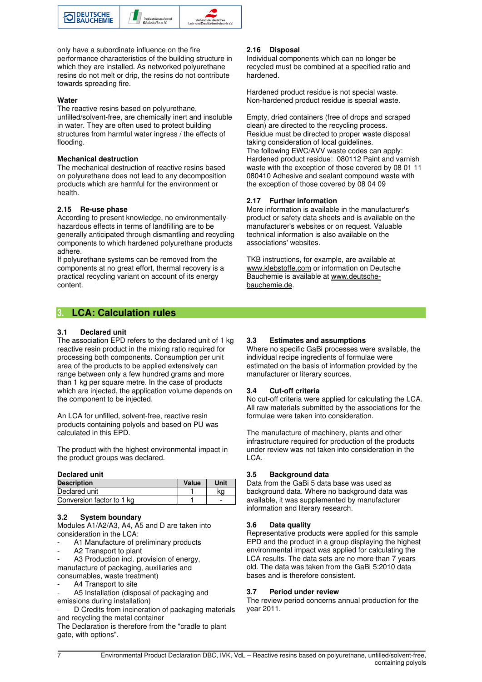

only have a subordinate influence on the fire performance characteristics of the building structure in which they are installed. As networked polyurethane resins do not melt or drip, the resins do not contribute towards spreading fire.

#### **Water**

The reactive resins based on polyurethane, unfilled/solvent-free, are chemically inert and insoluble in water. They are often used to protect building structures from harmful water ingress / the effects of flooding.

#### **Mechanical destruction**

The mechanical destruction of reactive resins based on polyurethane does not lead to any decomposition products which are harmful for the environment or health.

#### **2.15 Re-use phase**

According to present knowledge, no environmentallyhazardous effects in terms of landfilling are to be generally anticipated through dismantling and recycling components to which hardened polyurethane products adhere.

If polyurethane systems can be removed from the components at no great effort, thermal recovery is a practical recycling variant on account of its energy content.

#### **2.16 Disposal**

Individual components which can no longer be recycled must be combined at a specified ratio and hardened.

Hardened product residue is not special waste. Non-hardened product residue is special waste.

Empty, dried containers (free of drops and scraped clean) are directed to the recycling process. Residue must be directed to proper waste disposal taking consideration of local guidelines. The following EWC/AVV waste codes can apply: Hardened product residue: 080112 Paint and varnish waste with the exception of those covered by 08 01 11 080410 Adhesive and sealant compound waste with the exception of those covered by 08 04 09

#### **2.17 Further information**

More information is available in the manufacturer's product or safety data sheets and is available on the manufacturer's websites or on request. Valuable technical information is also available on the associations' websites.

TKB instructions, for example, are available at www.klebstoffe.com or information on Deutsche Bauchemie is available at www.deutschebauchemie.de.

## **3. LCA: Calculation rules**

#### **3.1 Declared unit**

The association EPD refers to the declared unit of 1 kg reactive resin product in the mixing ratio required for processing both components. Consumption per unit area of the products to be applied extensively can range between only a few hundred grams and more than 1 kg per square metre. In the case of products which are injected, the application volume depends on the component to be injected.

An LCA for unfilled, solvent-free, reactive resin products containing polyols and based on PU was calculated in this EPD.

The product with the highest environmental impact in the product groups was declared.

#### **Declared unit**

| <b>Description</b>        | Value | Unit |
|---------------------------|-------|------|
| Declared unit             |       | kα   |
| Conversion factor to 1 kg |       | -    |

#### **3.2 System boundary**

Modules A1/A2/A3, A4, A5 and D are taken into consideration in the LCA:

- A1 Manufacture of preliminary products
- A2 Transport to plant
- A3 Production incl. provision of energy, manufacture of packaging, auxiliaries and

consumables, waste treatment)

- A4 Transport to site
- A5 Installation (disposal of packaging and emissions during installation)

D Credits from incineration of packaging materials and recycling the metal container

The Declaration is therefore from the "cradle to plant gate, with options".

#### **3.3 Estimates and assumptions**

Where no specific GaBi processes were available, the individual recipe ingredients of formulae were estimated on the basis of information provided by the manufacturer or literary sources.

#### **3.4 Cut-off criteria**

No cut-off criteria were applied for calculating the LCA. All raw materials submitted by the associations for the formulae were taken into consideration.

The manufacture of machinery, plants and other infrastructure required for production of the products under review was not taken into consideration in the LCA.

#### **3.5 Background data**

Data from the GaBi 5 data base was used as background data. Where no background data was available, it was supplemented by manufacturer information and literary research.

#### **3.6 Data quality**

Representative products were applied for this sample EPD and the product in a group displaying the highest environmental impact was applied for calculating the LCA results. The data sets are no more than 7 years old. The data was taken from the GaBi 5:2010 data bases and is therefore consistent.

#### **3.7 Period under review**

The review period concerns annual production for the year 2011.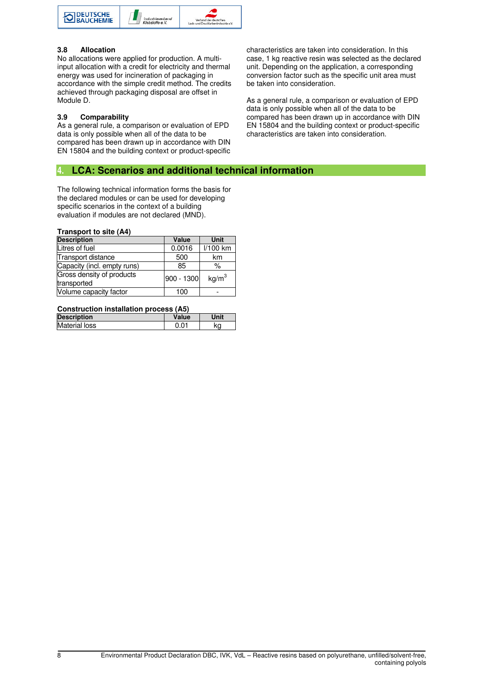

#### **3.8 Allocation**

No allocations were applied for production. A multiinput allocation with a credit for electricity and thermal energy was used for incineration of packaging in accordance with the simple credit method. The credits achieved through packaging disposal are offset in Module D.

#### **3.9 Comparability**

As a general rule, a comparison or evaluation of EPD data is only possible when all of the data to be compared has been drawn up in accordance with DIN EN 15804 and the building context or product-specific

## **4. LCA: Scenarios and additional technical information**

The following technical information forms the basis for the declared modules or can be used for developing specific scenarios in the context of a building evaluation if modules are not declared (MND).

#### **Transport to site (A4)**

| <b>Description</b>                       | Value      | Unit              |
|------------------------------------------|------------|-------------------|
| Litres of fuel                           | 0.0016     | l/100 km          |
| <b>Transport distance</b>                | 500        | km                |
| Capacity (incl. empty runs)              | 85         | $\%$              |
| Gross density of products<br>transported | 900 - 1300 | kq/m <sup>3</sup> |
| Volume capacity factor                   | 100        |                   |

#### **Construction installation process (A5)**

| <b>Description</b>   | Value | Unit |
|----------------------|-------|------|
| <b>Material loss</b> |       | kα   |
|                      |       |      |

characteristics are taken into consideration. In this case, 1 kg reactive resin was selected as the declared unit. Depending on the application, a corresponding conversion factor such as the specific unit area must be taken into consideration.

As a general rule, a comparison or evaluation of EPD data is only possible when all of the data to be compared has been drawn up in accordance with DIN EN 15804 and the building context or product-specific characteristics are taken into consideration.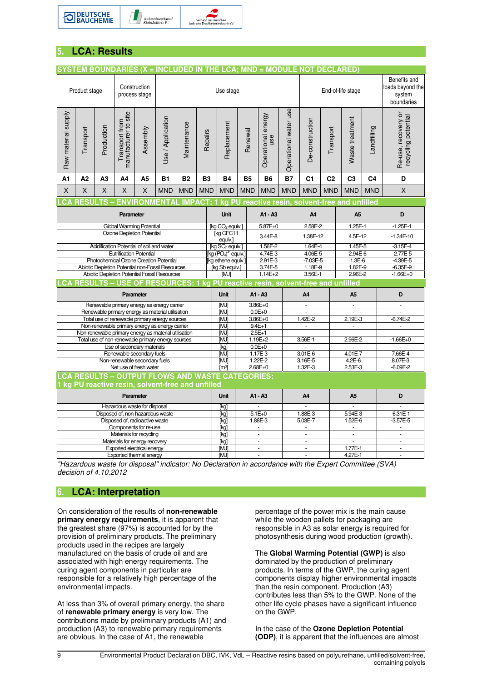

## **5. LCA: Results**

|                                                                                                           |                |                     |                                                         |                                       |                                                                                                 |             |                |                                            |                |            |                                        |                       | SYSTEM BOUNDARIES (X = INCLUDED IN THE LCA; MND = MODULE NOT DECLARED)  |                      |                                                          |                |                                            |
|-----------------------------------------------------------------------------------------------------------|----------------|---------------------|---------------------------------------------------------|---------------------------------------|-------------------------------------------------------------------------------------------------|-------------|----------------|--------------------------------------------|----------------|------------|----------------------------------------|-----------------------|-------------------------------------------------------------------------|----------------------|----------------------------------------------------------|----------------|--------------------------------------------|
|                                                                                                           | Product stage  |                     |                                                         | Construction<br>process stage         | Use stage                                                                                       |             |                |                                            |                |            | End-of-life stage                      |                       |                                                                         |                      | Benefits and<br>loads beyond the<br>system<br>boundaries |                |                                            |
| Raw material supply                                                                                       | Transport      | Production          | Transport from<br>manufacturer to site                  | Assembly                              | Use / Application                                                                               | Maintenance | Repairs        | Replacement                                | Renewal        |            | Operational energy<br>use              | Operational water use | De-construction                                                         | Transport            | Waste treatment                                          | Landfilling    | Re-use, recovery or<br>recycling potential |
| A1                                                                                                        | A <sub>2</sub> | A <sub>3</sub>      | A4                                                      | A5                                    | <b>B1</b>                                                                                       | <b>B2</b>   | B <sub>3</sub> | <b>B4</b>                                  | <b>B5</b>      |            | B <sub>6</sub>                         | <b>B7</b>             | C <sub>1</sub>                                                          | C <sub>2</sub>       | C <sub>3</sub>                                           | C <sub>4</sub> | D                                          |
| X                                                                                                         | X              | X                   | X                                                       | X                                     | <b>MND</b>                                                                                      | <b>MND</b>  | <b>MND</b>     | <b>MND</b>                                 | <b>MND</b>     |            | <b>MND</b>                             | <b>MND</b>            | <b>MND</b>                                                              | <b>MND</b>           | <b>MND</b>                                               | <b>MND</b>     | X                                          |
|                                                                                                           |                | <b>CA RESULTS -</b> |                                                         |                                       |                                                                                                 |             |                |                                            |                |            |                                        |                       | ENVIRONMENTAL IMPACT: 1 kg PU reactive resin, solvent-free and unfilled |                      |                                                          |                |                                            |
|                                                                                                           |                |                     | Parameter                                               |                                       |                                                                                                 |             |                | <b>Unit</b>                                |                |            | A1 - A3                                |                       | A4                                                                      |                      | A <sub>5</sub>                                           |                | D                                          |
|                                                                                                           |                |                     | Global Warming Potential                                |                                       |                                                                                                 |             |                | [kg CO <sub>2</sub> equiv.]                |                |            | $5.87E + 0$                            |                       |                                                                         | 2.58E-2<br>1.25E-1   |                                                          |                | $-1.25E-1$                                 |
|                                                                                                           |                |                     | Ozone Depletion Potential                               |                                       |                                                                                                 |             |                | [kg CFC11<br>equiv.]                       |                |            | 3.44E-8                                |                       |                                                                         | 1.38E-12             |                                                          | 4.5E-12        | $-1.34E-10$                                |
|                                                                                                           |                |                     | Acidification Potential of soil and water               |                                       |                                                                                                 |             |                | [kg SO <sub>2</sub> equiv.]                |                |            | 1.56E-2                                |                       |                                                                         | $1.64E-4$<br>1.45E-5 |                                                          |                | $-3.15E - 4$                               |
|                                                                                                           |                |                     | <b>Eutrification Potential</b>                          |                                       | Photochemical Ozone Creation Potential                                                          |             |                | $[kg (PO4)3$ equiv.]<br>[kg ethene equiv.] |                |            | 4.74E-3<br>2.91E-3                     |                       | 4.06E-5<br>$-7.03E - 5$                                                 |                      | 2.94E-6<br>$1.3E-6$                                      |                | $-2.77E-5$<br>$-4.39E - 5$                 |
|                                                                                                           |                |                     |                                                         |                                       | Abiotic Depletion Potential non-Fossil Resources                                                |             |                | [kg Sb equiv.]                             |                |            | 3.74E-5                                |                       | 1.18E-9                                                                 |                      | 1.82E-9                                                  |                | $-6.35E-9$                                 |
|                                                                                                           |                |                     |                                                         |                                       | Abiotic Depletion Potential Fossil Resources                                                    |             |                | [MJ]                                       |                |            | $1.14E + 2$                            |                       | 3.56E-1                                                                 |                      | 2.96E-2                                                  |                | $-1.66E + 0$                               |
|                                                                                                           |                |                     |                                                         |                                       |                                                                                                 |             |                |                                            |                |            |                                        |                       |                                                                         |                      |                                                          |                |                                            |
| CA RESULTS - USE OF RESOURCES: 1 kg PU reactive resin, solvent-free and unfilled<br>Parameter             |                |                     |                                                         | <b>Unit</b>                           |                                                                                                 |             | A1 - A3        |                                            | A <sub>4</sub> |            | A <sub>5</sub>                         |                       | D                                                                       |                      |                                                          |                |                                            |
|                                                                                                           |                |                     |                                                         |                                       | Renewable primary energy as energy carrier                                                      |             |                | <b>MJ</b>                                  |                |            | 3.86E+0                                |                       | $\overline{\phantom{a}}$                                                |                      | $\overline{\phantom{a}}$                                 |                | $\blacksquare$                             |
|                                                                                                           |                |                     |                                                         |                                       | Renewable primary energy as material utilisation                                                |             |                | <b>MJI</b>                                 |                |            | $0.0E + 0$                             |                       |                                                                         |                      |                                                          |                |                                            |
|                                                                                                           |                |                     |                                                         |                                       | Total use of renewable primary energy sources<br>Non-renewable primary energy as energy carrier |             |                | [MJ]<br>[MJ]                               |                | $9.4E + 1$ | 3.86E+0                                |                       | $1.42E - 2$<br>$\overline{\phantom{a}}$                                 |                      | $2.19E - 3$<br>$\Box$                                    |                | $-6.74E - 2$<br>ä,                         |
|                                                                                                           |                |                     |                                                         |                                       | Non-renewable primary energy as material utilisation                                            |             |                | [MJ]                                       |                | $2.5E+1$   |                                        |                       |                                                                         |                      |                                                          |                |                                            |
|                                                                                                           |                |                     |                                                         |                                       | Total use of non-renewable primary energy sources                                               |             |                | [MJ]                                       |                |            | $1.19E + 2$                            |                       | 3.56E-1                                                                 |                      | 2.96E-2                                                  |                | $-1.66E + 0$                               |
|                                                                                                           |                |                     | Use of secondary materials                              |                                       |                                                                                                 |             |                | [kg]                                       |                |            | $0.0E + 0$                             |                       | ä,                                                                      |                      |                                                          |                |                                            |
|                                                                                                           |                |                     | Renewable secondary fuels                               |                                       |                                                                                                 |             |                | 1.17E-3<br>[MJ]<br>1.22E-2                 |                |            | $3.01E - 6$<br>$4.01E - 7$<br>$4.2E-6$ |                       |                                                                         |                      | 7.66E-4                                                  |                |                                            |
|                                                                                                           |                |                     | Non-renewable secondary fuels<br>Net use of fresh water |                                       |                                                                                                 |             |                | <b>MJ</b><br>$\lceil m^3 \rceil$           |                |            | 2.68E+0                                |                       | 3.16E-5<br>1.32E-3<br>2.53E-3                                           |                      |                                                          |                | 8.07E-3<br>$-6.09E - 2$                    |
|                                                                                                           |                |                     |                                                         |                                       |                                                                                                 |             |                |                                            |                |            |                                        |                       |                                                                         |                      |                                                          |                |                                            |
| <b>CA RESULTS - OUTPUT FLOWS AND WASTE CATEGORIES:</b><br>kg PU reactive resin, solvent-free and unfilled |                |                     |                                                         |                                       |                                                                                                 |             |                |                                            |                |            |                                        |                       |                                                                         |                      |                                                          |                |                                            |
|                                                                                                           |                |                     | Parameter                                               |                                       |                                                                                                 |             |                | <b>Unit</b>                                |                |            | A1 - A3                                |                       | A <sub>4</sub>                                                          |                      | A <sub>5</sub>                                           |                | D                                          |
| Hazardous waste for disposal                                                                              |                |                     |                                                         |                                       | [kg]                                                                                            |             |                |                                            |                |            |                                        |                       |                                                                         |                      |                                                          |                |                                            |
| Disposed of, non-hazardous waste                                                                          |                |                     |                                                         |                                       | [kg]                                                                                            |             |                | $5.1E+0$                                   |                | 1.88E-3    |                                        | 5.94E-3               |                                                                         | $-6.31E-1$           |                                                          |                |                                            |
|                                                                                                           |                |                     | Disposed of, radioactive waste                          |                                       |                                                                                                 |             |                | [kg]                                       |                |            | 1.88E-3                                |                       | 5.03E-7                                                                 |                      | 1.52E-6                                                  |                | $-3.57E - 5$                               |
|                                                                                                           |                |                     | Components for re-use<br>Materials for recycling        |                                       |                                                                                                 |             |                | [kg]                                       |                |            | ä,<br>ä,                               |                       | $\bar{\phantom{a}}$                                                     |                      | $\overline{\phantom{a}}$<br>$\Box$                       |                | ä,                                         |
|                                                                                                           |                |                     | Materials for energy recovery                           |                                       |                                                                                                 |             |                | [kg]<br>[kg]                               |                |            | ÷.                                     |                       | $\overline{\phantom{a}}$                                                |                      | $\omega$                                                 |                | ÷.                                         |
|                                                                                                           |                |                     | Exported electrical energy                              |                                       |                                                                                                 |             |                | [MJ]                                       |                |            | ä,                                     |                       | $\overline{\phantom{a}}$                                                |                      | $1.77E-1$                                                |                | $\omega$                                   |
|                                                                                                           |                |                     |                                                         | Exported thermal energy<br>[MJ]<br>ä, |                                                                                                 |             |                |                                            | $\blacksquare$ |            | 4.27E-1                                |                       | $\omega$                                                                |                      |                                                          |                |                                            |

*"Hazardous waste for disposal" indicator: No Declaration in accordance with the Expert Committee (SVA) decision of 4.10.2012*

## **6. LCA: Interpretation**

On consideration of the results of **non-renewable primary energy requirements**, it is apparent that the greatest share (97%) is accounted for by the provision of preliminary products. The preliminary products used in the recipes are largely manufactured on the basis of crude oil and are associated with high energy requirements. The curing agent components in particular are responsible for a relatively high percentage of the environmental impacts.

At less than 3% of overall primary energy, the share of **renewable primary energy** is very low. The contributions made by preliminary products (A1) and production (A3) to renewable primary requirements are obvious. In the case of A1, the renewable

percentage of the power mix is the main cause while the wooden pallets for packaging are responsible in A3 as solar energy is required for photosynthesis during wood production (growth).

The **Global Warming Potential (GWP)** is also dominated by the production of preliminary products. In terms of the GWP, the curing agent components display higher environmental impacts than the resin component. Production (A3) contributes less than 5% to the GWP. None of the other life cycle phases have a significant influence on the GWP.

In the case of the **Ozone Depletion Potential (ODP)**, it is apparent that the influences are almost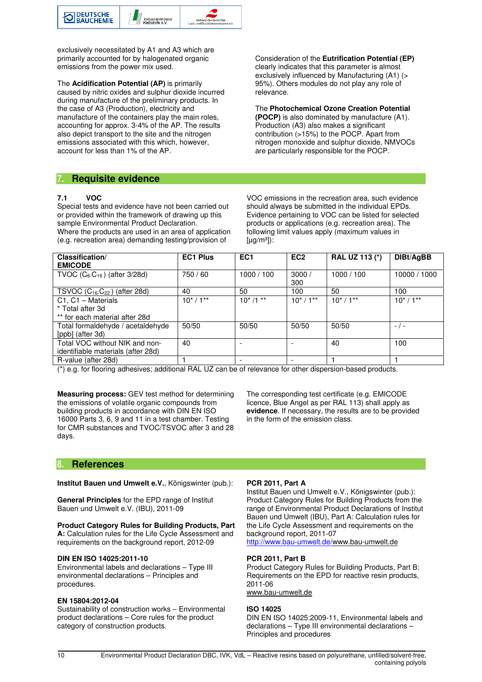

exclusively necessitated by A1 and A3 which are primarily accounted for by halogenated organic emissions from the power mix used.

The **Acidification Potential (AP)** is primarily caused by nitric oxides and sulphur dioxide incurred during manufacture of the preliminary products. In the case of A3 (Production), electricity and manufacture of the containers play the main roles, accounting for approx. 3-4% of the AP. The results also depict transport to the site and the nitrogen emissions associated with this which, however, account for less than 1% of the AP.

Consideration of the **Eutrification Potential (EP)** clearly indicates that this parameter is almost exclusively influenced by Manufacturing (A1) (> 95%). Others modules do not play any role of relevance.

The **Photochemical Ozone Creation Potential (POCP)** is also dominated by manufacture (A1). Production (A3) also makes a significant contribution (>15%) to the POCP. Apart from nitrogen monoxide and sulphur dioxide, NMVOCs are particularly responsible for the POCP.

## **7. Requisite evidence**

#### **7.1 VOC**

Special tests and evidence have not been carried out or provided within the framework of drawing up this sample Environmental Product Declaration. Where the products are used in an area of application (e.g. recreation area) demanding testing/provision of

VOC emissions in the recreation area, such evidence should always be submitted in the individual EPDs. Evidence pertaining to VOC can be listed for selected products or applications (e.g. recreation area). The following limit values apply (maximum values in  $[\mu q/m^3]$ :

| Classification/<br><b>EMICODE</b>                                        | <b>EC1 Plus</b> | EC <sub>1</sub> | EC <sub>2</sub> | <b>RAL UZ 113 (*)</b> | DIBt/AgBB    |
|--------------------------------------------------------------------------|-----------------|-----------------|-----------------|-----------------------|--------------|
| TVOC $(C_6 \, C_{16})$ (after 3/28d)                                     | 750 / 60        | 1000 / 100      | 3000/<br>300    | 1000 / 100            | 10000 / 1000 |
| TSVOC $(C_{16}C_{22})$ (after 28d)                                       | 40              | 50              | 100             | 50                    | 100          |
| C1, C1 - Materials<br>* Total after 3d<br>** for each material after 28d | $10^*/1**$      | $10^*/1$ **     | $10^*/1**$      | $10^*/1**$            | $10^*/1**$   |
| Total formaldehyde / acetaldehyde<br>[ppb] (after 3d)                    | 50/50           | 50/50           | 50/50           | 50/50                 | $-$ / $-$    |
| Total VOC without NIK and non-<br>identifiable materials (after 28d)     | 40              |                 |                 | 40                    | 100          |
| R-value (after 28d)                                                      |                 |                 |                 |                       |              |

(\*) e.g. for flooring adhesives; additional RAL UZ can be of relevance for other dispersion-based products.

**Measuring process:** GEV test method for determining the emissions of volatile organic compounds from building products in accordance with DIN EN ISO 16000 Parts 3, 6, 9 and 11 in a test chamber. Testing for CMR substances and TVOC/TSVOC after 3 and 28 days.

The corresponding test certificate (e.g. EMICODE licence, Blue Angel as per RAL 113) shall apply as **evidence**. If necessary, the results are to be provided in the form of the emission class.

### **8. References**

**Institut Bauen und Umwelt e.V.**, Königswinter (pub.):

**General Principles** for the EPD range of Institut Bauen und Umwelt e.V. (IBU), 2011-09

## **Product Category Rules for Building Products, Part**

**A:** Calculation rules for the Life Cycle Assessment and requirements on the background report, 2012-09

#### **DIN EN ISO 14025:2011-10**

Environmental labels and declarations – Type III environmental declarations – Principles and procedures.

#### **EN 15804:2012-04**

Sustainability of construction works – Environmental product declarations – Core rules for the product category of construction products.

#### **PCR 2011, Part A**

Institut Bauen und Umwelt e.V., Königswinter (pub.): Product Category Rules for Building Products from the range of Environmental Product Declarations of Institut Bauen und Umwelt (IBU), Part A: Calculation rules for the Life Cycle Assessment and requirements on the background report, 2011-07 http://www.bau-umwelt.de/www.bau-umwelt.de

#### **PCR 2011, Part B**

Product Category Rules for Building Products, Part B: Requirements on the EPD for reactive resin products, 2011-06 www.bau-umwelt.de

#### **ISO 14025**

DIN EN ISO 14025:2009-11, Environmental labels and declarations – Type III environmental declarations – Principles and procedures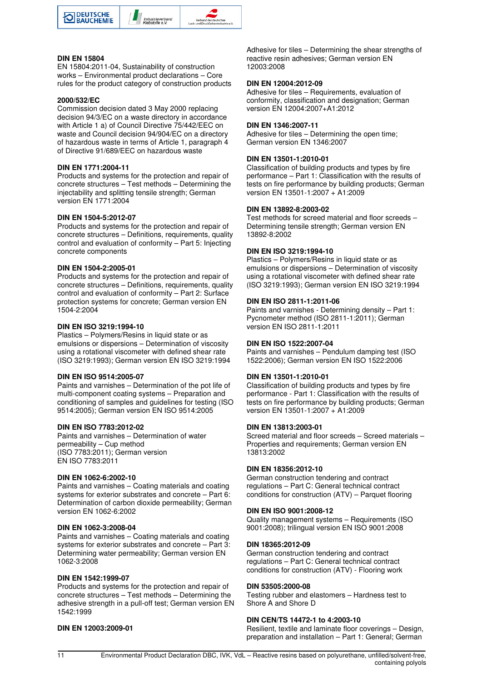

#### **DIN EN 15804**

EN 15804:2011-04, Sustainability of construction works – Environmental product declarations – Core rules for the product category of construction products

#### **2000/532/EC**

Commission decision dated 3 May 2000 replacing decision 94/3/EC on a waste directory in accordance with Article 1 a) of Council Directive 75/442/EEC on waste and Council decision 94/904/EC on a directory of hazardous waste in terms of Article 1, paragraph 4 of Directive 91/689/EEC on hazardous waste

#### **DIN EN 1771:2004-11**

Products and systems for the protection and repair of concrete structures – Test methods – Determining the injectability and splitting tensile strength; German version EN 1771:2004

#### **DIN EN 1504-5:2012-07**

Products and systems for the protection and repair of concrete structures – Definitions, requirements, quality control and evaluation of conformity – Part 5: Injecting concrete components

#### **DIN EN 1504-2:2005-01**

Products and systems for the protection and repair of concrete structures – Definitions, requirements, quality control and evaluation of conformity – Part 2: Surface protection systems for concrete; German version EN 1504-2:2004

#### **DIN EN ISO 3219:1994-10**

Plastics – Polymers/Resins in liquid state or as emulsions or dispersions – Determination of viscosity using a rotational viscometer with defined shear rate (ISO 3219:1993); German version EN ISO 3219:1994

#### **DIN EN ISO 9514:2005-07**

Paints and varnishes – Determination of the pot life of multi-component coating systems – Preparation and conditioning of samples and guidelines for testing (ISO 9514:2005); German version EN ISO 9514:2005

#### **DIN EN ISO 7783:2012-02**

Paints and varnishes – Determination of water permeability – Cup method (ISO 7783:2011); German version EN ISO 7783:2011

#### **DIN EN 1062-6:2002-10**

Paints and varnishes – Coating materials and coating systems for exterior substrates and concrete – Part 6: Determination of carbon dioxide permeability; German version EN 1062-6:2002

#### **DIN EN 1062-3:2008-04**

Paints and varnishes – Coating materials and coating systems for exterior substrates and concrete – Part 3: Determining water permeability; German version EN 1062-3:2008

#### **DIN EN 1542:1999-07**

Products and systems for the protection and repair of concrete structures – Test methods – Determining the adhesive strength in a pull-off test; German version EN 1542:1999

#### **DIN EN 12003:2009-01**

Adhesive for tiles – Determining the shear strengths of reactive resin adhesives; German version EN 12003:2008

#### **DIN EN 12004:2012-09**

Adhesive for tiles – Requirements, evaluation of conformity, classification and designation; German version EN 12004:2007+A1:2012

#### **DIN EN 1346:2007-11**

Adhesive for tiles – Determining the open time; German version EN 1346:2007

#### **DIN EN 13501-1:2010-01**

Classification of building products and types by fire performance – Part 1: Classification with the results of tests on fire performance by building products; German version EN 13501-1:2007 + A1:2009

#### **DIN EN 13892-8:2003-02**

Test methods for screed material and floor screeds – Determining tensile strength; German version EN 13892-8:2002

#### **DIN EN ISO 3219:1994-10**

Plastics – Polymers/Resins in liquid state or as emulsions or dispersions – Determination of viscosity using a rotational viscometer with defined shear rate (ISO 3219:1993); German version EN ISO 3219:1994

#### **DIN EN ISO 2811-1:2011-06**

Paints and varnishes - Determining density – Part 1: Pycnometer method (ISO 2811-1:2011); German version EN ISO 2811-1:2011

#### **DIN EN ISO 1522:2007-04**

Paints and varnishes – Pendulum damping test (ISO 1522:2006); German version EN ISO 1522:2006

#### **DIN EN 13501-1:2010-01**

Classification of building products and types by fire performance - Part 1: Classification with the results of tests on fire performance by building products; German version EN 13501-1:2007 + A1:2009

#### **DIN EN 13813:2003-01**

Screed material and floor screeds – Screed materials – Properties and requirements; German version EN 13813:2002

#### **DIN EN 18356:2012-10**

German construction tendering and contract regulations – Part C: General technical contract conditions for construction (ATV) – Parquet flooring

#### **DIN EN ISO 9001:2008-12**

Quality management systems – Requirements (ISO 9001:2008); trilingual version EN ISO 9001:2008

#### **DIN 18365:2012-09**

German construction tendering and contract regulations – Part C: General technical contract conditions for construction (ATV) - Flooring work

#### **DIN 53505:2000-08**

Testing rubber and elastomers – Hardness test to Shore A and Shore D

#### **DIN CEN/TS 14472-1 to 4:2003-10**

Resilient, textile and laminate floor coverings – Design, preparation and installation – Part 1: General; German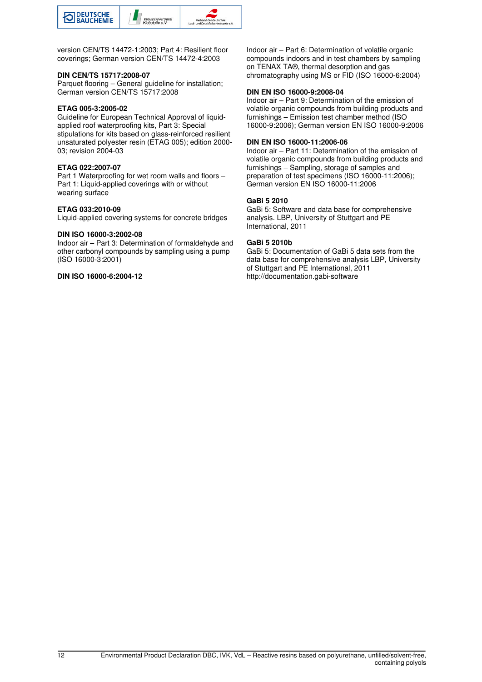

version CEN/TS 14472-1:2003; Part 4: Resilient floor coverings; German version CEN/TS 14472-4:2003

#### **DIN CEN/TS 15717:2008-07**

Parquet flooring – General guideline for installation; German version CEN/TS 15717:2008

#### **ETAG 005-3:2005-02**

Guideline for European Technical Approval of liquidapplied roof waterproofing kits, Part 3: Special stipulations for kits based on glass-reinforced resilient unsaturated polyester resin (ETAG 005); edition 2000- 03; revision 2004-03

#### **ETAG 022:2007-07**

Part 1 Waterproofing for wet room walls and floors – Part 1: Liquid-applied coverings with or without wearing surface

#### **ETAG 033:2010-09**

Liquid-applied covering systems for concrete bridges

#### **DIN ISO 16000-3:2002-08**

Indoor air – Part 3: Determination of formaldehyde and other carbonyl compounds by sampling using a pump (ISO 16000-3:2001)

#### **DIN ISO 16000-6:2004-12**

Indoor air – Part 6: Determination of volatile organic compounds indoors and in test chambers by sampling on TENAX TA®, thermal desorption and gas chromatography using MS or FID (ISO 16000-6:2004)

#### **DIN EN ISO 16000-9:2008-04**

Indoor air – Part 9: Determination of the emission of volatile organic compounds from building products and furnishings – Emission test chamber method (ISO 16000-9:2006); German version EN ISO 16000-9:2006

#### **DIN EN ISO 16000-11:2006-06**

Indoor air – Part 11: Determination of the emission of volatile organic compounds from building products and furnishings – Sampling, storage of samples and preparation of test specimens (ISO 16000-11:2006); German version EN ISO 16000-11:2006

#### **GaBi 5 2010**

GaBi 5: Software and data base for comprehensive analysis. LBP, University of Stuttgart and PE International, 2011

#### **GaBi 5 2010b**

GaBi 5: Documentation of GaBi 5 data sets from the data base for comprehensive analysis LBP, University of Stuttgart and PE International, 2011 http://documentation.gabi-software